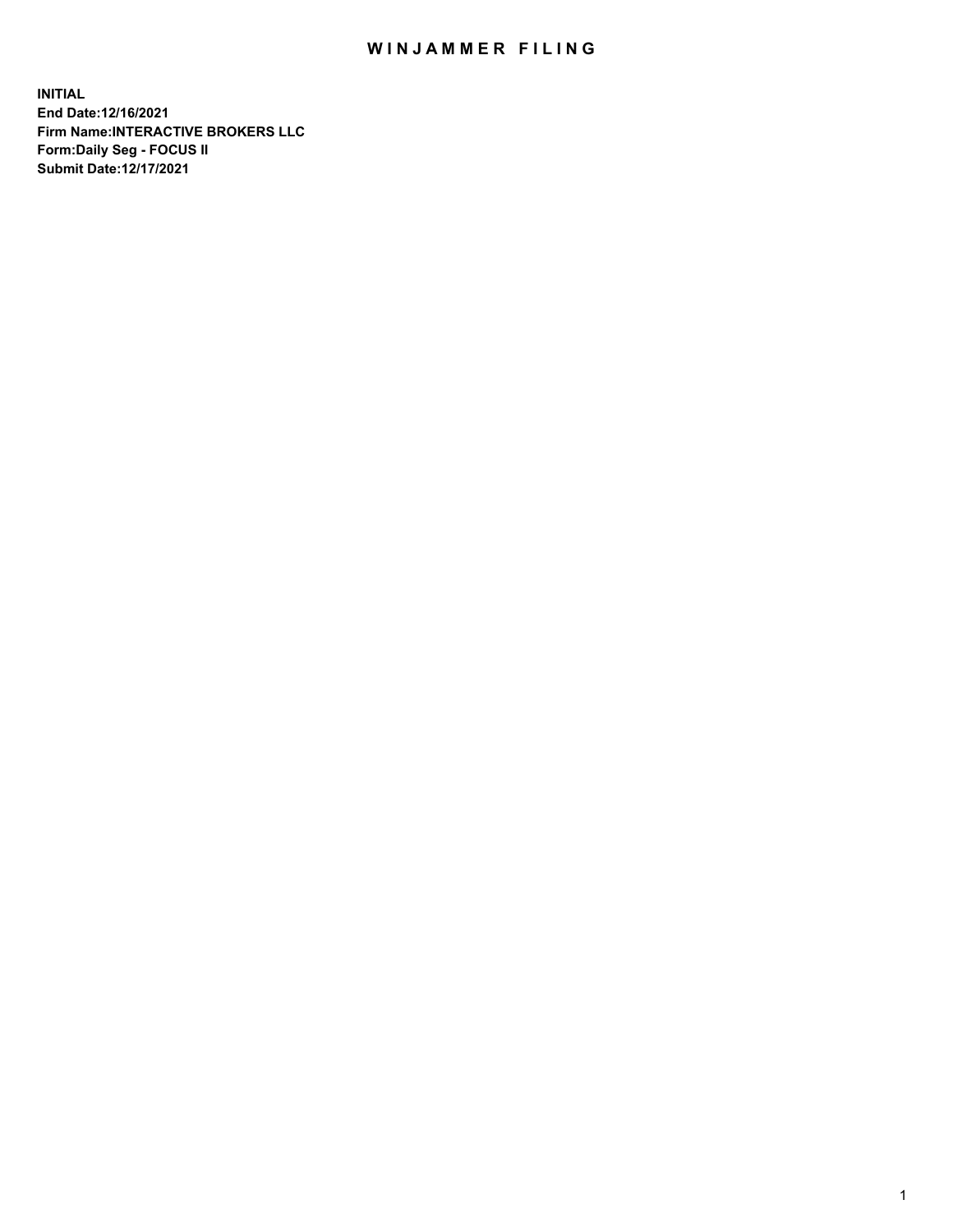## WIN JAMMER FILING

**INITIAL End Date:12/16/2021 Firm Name:INTERACTIVE BROKERS LLC Form:Daily Seg - FOCUS II Submit Date:12/17/2021**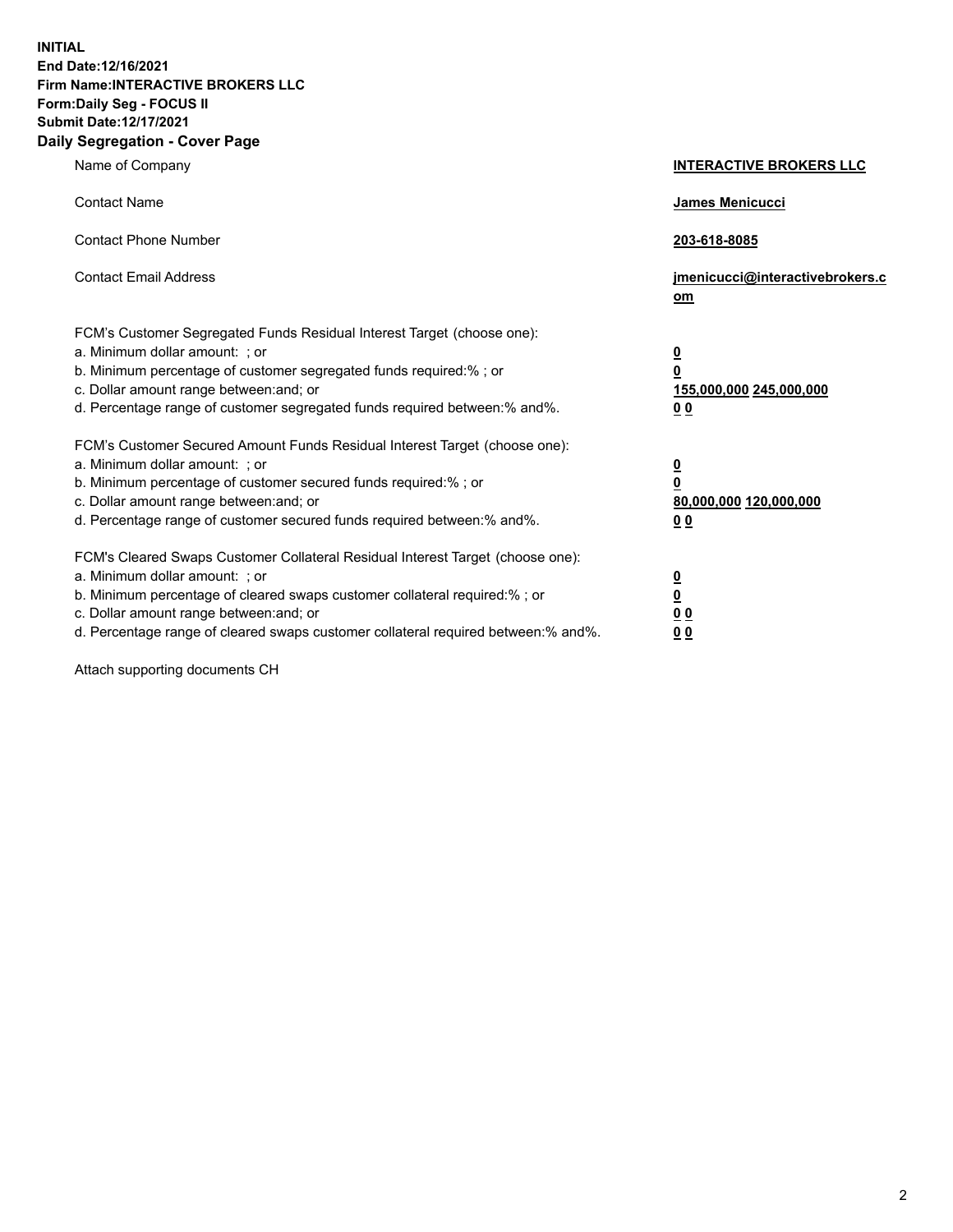**INITIAL End Date:12/16/2021 Firm Name:INTERACTIVE BROKERS LLC Form:Daily Seg - FOCUS II Submit Date:12/17/2021 Daily Segregation - Cover Page**

| Name of Company                                                                                                                                                                                                                                                                                                                | <b>INTERACTIVE BROKERS LLC</b>                                                                           |
|--------------------------------------------------------------------------------------------------------------------------------------------------------------------------------------------------------------------------------------------------------------------------------------------------------------------------------|----------------------------------------------------------------------------------------------------------|
| <b>Contact Name</b>                                                                                                                                                                                                                                                                                                            | James Menicucci                                                                                          |
| <b>Contact Phone Number</b>                                                                                                                                                                                                                                                                                                    | 203-618-8085                                                                                             |
| <b>Contact Email Address</b>                                                                                                                                                                                                                                                                                                   | jmenicucci@interactivebrokers.c<br>om                                                                    |
| FCM's Customer Segregated Funds Residual Interest Target (choose one):<br>a. Minimum dollar amount: ; or<br>b. Minimum percentage of customer segregated funds required:% ; or<br>c. Dollar amount range between: and; or<br>d. Percentage range of customer segregated funds required between:% and%.                         | $\overline{\mathbf{0}}$<br>$\overline{\mathbf{0}}$<br>155,000,000 245,000,000<br>0 <sub>0</sub>          |
| FCM's Customer Secured Amount Funds Residual Interest Target (choose one):<br>a. Minimum dollar amount: ; or<br>b. Minimum percentage of customer secured funds required:%; or<br>c. Dollar amount range between: and; or<br>d. Percentage range of customer secured funds required between:% and%.                            | $\overline{\mathbf{0}}$<br>$\overline{\mathbf{0}}$<br>80,000,000 120,000,000<br>00                       |
| FCM's Cleared Swaps Customer Collateral Residual Interest Target (choose one):<br>a. Minimum dollar amount: ; or<br>b. Minimum percentage of cleared swaps customer collateral required:% ; or<br>c. Dollar amount range between: and; or<br>d. Percentage range of cleared swaps customer collateral required between:% and%. | $\overline{\mathbf{0}}$<br>$\underline{\mathbf{0}}$<br>$\underline{0}$ $\underline{0}$<br>0 <sub>0</sub> |

Attach supporting documents CH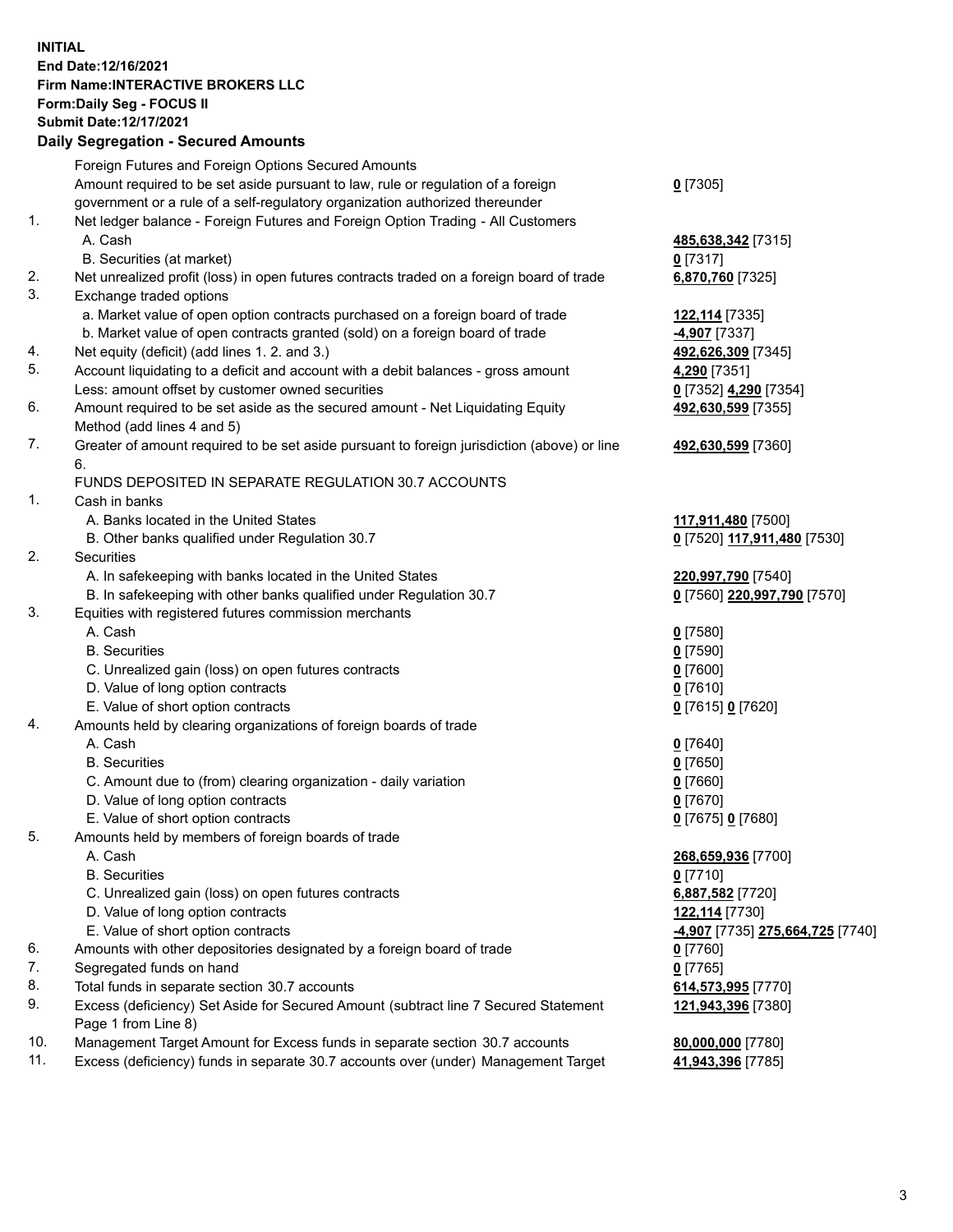## **INITIAL End Date:12/16/2021 Firm Name:INTERACTIVE BROKERS LLC Form:Daily Seg - FOCUS II Submit Date:12/17/2021 Daily Segregation - Secured Amounts**

|     | Daily Segregation - Secured Amounts                                                         |                                         |
|-----|---------------------------------------------------------------------------------------------|-----------------------------------------|
|     | Foreign Futures and Foreign Options Secured Amounts                                         |                                         |
|     | Amount required to be set aside pursuant to law, rule or regulation of a foreign            | $0$ [7305]                              |
|     | government or a rule of a self-regulatory organization authorized thereunder                |                                         |
| 1.  | Net ledger balance - Foreign Futures and Foreign Option Trading - All Customers             |                                         |
|     | A. Cash                                                                                     | 485,638,342 [7315]                      |
|     | B. Securities (at market)                                                                   | $0$ [7317]                              |
| 2.  | Net unrealized profit (loss) in open futures contracts traded on a foreign board of trade   | 6,870,760 [7325]                        |
| 3.  | Exchange traded options                                                                     |                                         |
|     | a. Market value of open option contracts purchased on a foreign board of trade              | 122,114 [7335]                          |
|     | b. Market value of open contracts granted (sold) on a foreign board of trade                | 4,907 [7337]                            |
| 4.  | Net equity (deficit) (add lines 1. 2. and 3.)                                               | 492,626,309 [7345]                      |
| 5.  | Account liquidating to a deficit and account with a debit balances - gross amount           | 4,290 [7351]                            |
|     | Less: amount offset by customer owned securities                                            | 0 [7352] 4,290 [7354]                   |
| 6.  | Amount required to be set aside as the secured amount - Net Liquidating Equity              | 492,630,599 [7355]                      |
|     | Method (add lines 4 and 5)                                                                  |                                         |
| 7.  | Greater of amount required to be set aside pursuant to foreign jurisdiction (above) or line | 492,630,599 [7360]                      |
|     | 6.                                                                                          |                                         |
|     | FUNDS DEPOSITED IN SEPARATE REGULATION 30.7 ACCOUNTS                                        |                                         |
| 1.  | Cash in banks                                                                               |                                         |
|     | A. Banks located in the United States                                                       | 117,911,480 [7500]                      |
|     | B. Other banks qualified under Regulation 30.7                                              | 0 [7520] 117,911,480 [7530]             |
| 2.  | Securities                                                                                  |                                         |
|     | A. In safekeeping with banks located in the United States                                   | 220,997,790 [7540]                      |
|     | B. In safekeeping with other banks qualified under Regulation 30.7                          | 0 [7560] 220,997,790 [7570]             |
| 3.  | Equities with registered futures commission merchants                                       |                                         |
|     | A. Cash                                                                                     | $0$ [7580]                              |
|     | <b>B.</b> Securities                                                                        | $0$ [7590]                              |
|     | C. Unrealized gain (loss) on open futures contracts                                         | $0$ [7600]                              |
|     | D. Value of long option contracts                                                           | $0$ [7610]                              |
|     | E. Value of short option contracts                                                          | 0 [7615] 0 [7620]                       |
| 4.  | Amounts held by clearing organizations of foreign boards of trade                           |                                         |
|     | A. Cash                                                                                     | $0$ [7640]                              |
|     | <b>B.</b> Securities                                                                        | $0$ [7650]                              |
|     | C. Amount due to (from) clearing organization - daily variation                             | $0$ [7660]                              |
|     | D. Value of long option contracts                                                           | $0$ [7670]                              |
|     | E. Value of short option contracts                                                          | 0 [7675] 0 [7680]                       |
| 5.  | Amounts held by members of foreign boards of trade                                          |                                         |
|     | A. Cash                                                                                     | 268,659,936 [7700]                      |
|     | <b>B.</b> Securities                                                                        | $0$ [7710]                              |
|     | C. Unrealized gain (loss) on open futures contracts                                         | 6,887,582 [7720]                        |
|     | D. Value of long option contracts                                                           | 122,114 [7730]                          |
|     | E. Value of short option contracts                                                          | <u>-4,907</u> [7735] 275,664,725 [7740] |
| 6.  | Amounts with other depositories designated by a foreign board of trade                      | $0$ [7760]                              |
| 7.  | Segregated funds on hand                                                                    | $0$ [7765]                              |
| 8.  | Total funds in separate section 30.7 accounts                                               | 614,573,995 [7770]                      |
| 9.  | Excess (deficiency) Set Aside for Secured Amount (subtract line 7 Secured Statement         | 121,943,396 [7380]                      |
| 10. | Page 1 from Line 8)                                                                         |                                         |
| 11. | Management Target Amount for Excess funds in separate section 30.7 accounts                 | 80,000,000 [7780]                       |
|     | Excess (deficiency) funds in separate 30.7 accounts over (under) Management Target          | 41,943,396 [7785]                       |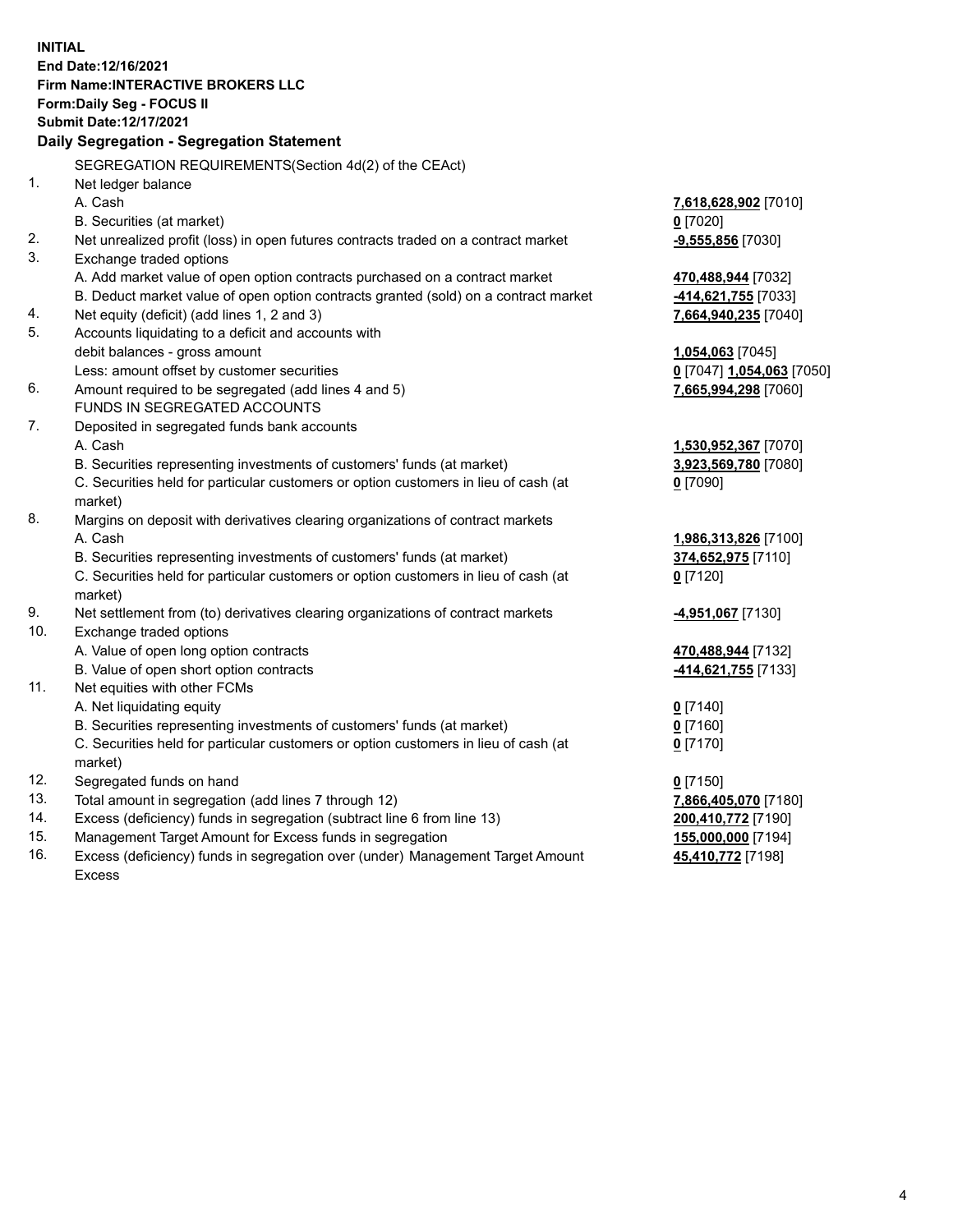**INITIAL End Date:12/16/2021 Firm Name:INTERACTIVE BROKERS LLC Form:Daily Seg - FOCUS II Submit Date:12/17/2021 Daily Segregation - Segregation Statement** SEGREGATION REQUIREMENTS(Section 4d(2) of the CEAct) 1. Net ledger balance A. Cash **7,618,628,902** [7010] B. Securities (at market) **0** [7020] 2. Net unrealized profit (loss) in open futures contracts traded on a contract market **-9,555,856** [7030] 3. Exchange traded options A. Add market value of open option contracts purchased on a contract market **470,488,944** [7032] B. Deduct market value of open option contracts granted (sold) on a contract market **-414,621,755** [7033] 4. Net equity (deficit) (add lines 1, 2 and 3) **7,664,940,235** [7040] 5. Accounts liquidating to a deficit and accounts with debit balances - gross amount **1,054,063** [7045] Less: amount offset by customer securities **0** [7047] **1,054,063** [7050] 6. Amount required to be segregated (add lines 4 and 5) **7,665,994,298** [7060] FUNDS IN SEGREGATED ACCOUNTS 7. Deposited in segregated funds bank accounts A. Cash **1,530,952,367** [7070] B. Securities representing investments of customers' funds (at market) **3,923,569,780** [7080] C. Securities held for particular customers or option customers in lieu of cash (at market) **0** [7090] 8. Margins on deposit with derivatives clearing organizations of contract markets A. Cash **1,986,313,826** [7100] B. Securities representing investments of customers' funds (at market) **374,652,975** [7110] C. Securities held for particular customers or option customers in lieu of cash (at market) **0** [7120] 9. Net settlement from (to) derivatives clearing organizations of contract markets **-4,951,067** [7130] 10. Exchange traded options A. Value of open long option contracts **470,488,944** [7132] B. Value of open short option contracts **-414,621,755** [7133] 11. Net equities with other FCMs A. Net liquidating equity **0** [7140] B. Securities representing investments of customers' funds (at market) **0** [7160] C. Securities held for particular customers or option customers in lieu of cash (at market) **0** [7170] 12. Segregated funds on hand **0** [7150] 13. Total amount in segregation (add lines 7 through 12) **7,866,405,070** [7180] 14. Excess (deficiency) funds in segregation (subtract line 6 from line 13) **200,410,772** [7190] 15. Management Target Amount for Excess funds in segregation **155,000,000** [7194] 16. Excess (deficiency) funds in segregation over (under) Management Target Amount **45,410,772** [7198]

Excess